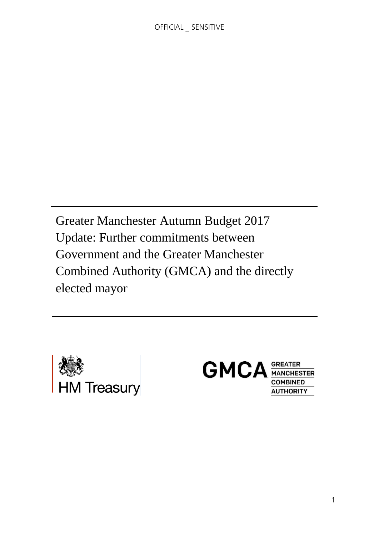Greater Manchester Autumn Budget 2017 Update: Further commitments between Government and the Greater Manchester Combined Authority (GMCA) and the directly elected mayor



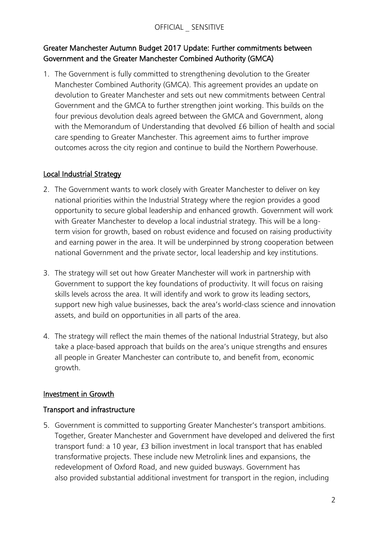# Greater Manchester Autumn Budget 2017 Update: Further commitments between Government and the Greater Manchester Combined Authority (GMCA)

1. The Government is fully committed to strengthening devolution to the Greater Manchester Combined Authority (GMCA). This agreement provides an update on devolution to Greater Manchester and sets out new commitments between Central Government and the GMCA to further strengthen joint working. This builds on the four previous devolution deals agreed between the GMCA and Government, along with the Memorandum of Understanding that devolved £6 billion of health and social care spending to Greater Manchester. This agreement aims to further improve outcomes across the city region and continue to build the Northern Powerhouse.

## Local Industrial Strategy

- 2. The Government wants to work closely with Greater Manchester to deliver on key national priorities within the Industrial Strategy where the region provides a good opportunity to secure global leadership and enhanced growth. Government will work with Greater Manchester to develop a local industrial strategy. This will be a longterm vision for growth, based on robust evidence and focused on raising productivity and earning power in the area. It will be underpinned by strong cooperation between national Government and the private sector, local leadership and key institutions.
- 3. The strategy will set out how Greater Manchester will work in partnership with Government to support the key foundations of productivity. It will focus on raising skills levels across the area. It will identify and work to grow its leading sectors, support new high value businesses, back the area's world-class science and innovation assets, and build on opportunities in all parts of the area.
- 4. The strategy will reflect the main themes of the national Industrial Strategy, but also take a place-based approach that builds on the area's unique strengths and ensures all people in Greater Manchester can contribute to, and benefit from, economic growth.

### Investment in Growth

### Transport and infrastructure

5. Government is committed to supporting Greater Manchester's transport ambitions. Together, Greater Manchester and Government have developed and delivered the first transport fund: a 10 year, £3 billion investment in local transport that has enabled transformative projects. These include new Metrolink lines and expansions, the redevelopment of Oxford Road, and new guided busways. Government has also provided substantial additional investment for transport in the region, including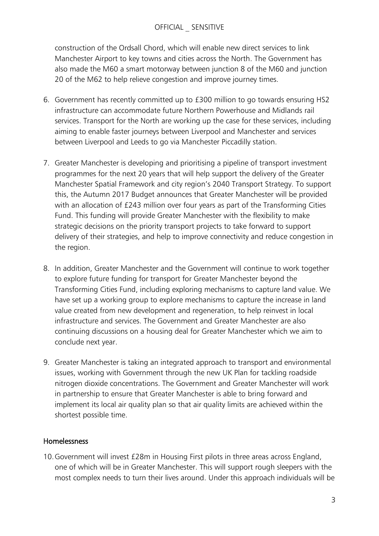#### OFFICIAL \_ SENSITIVE

construction of the Ordsall Chord, which will enable new direct services to link Manchester Airport to key towns and cities across the North. The Government has also made the M60 a smart motorway between junction 8 of the M60 and junction 20 of the M62 to help relieve congestion and improve journey times.

- 6. Government has recently committed up to £300 million to go towards ensuring HS2 infrastructure can accommodate future Northern Powerhouse and Midlands rail services. Transport for the North are working up the case for these services, including aiming to enable faster journeys between Liverpool and Manchester and services between Liverpool and Leeds to go via Manchester Piccadilly station.
- 7. Greater Manchester is developing and prioritising a pipeline of transport investment programmes for the next 20 years that will help support the delivery of the Greater Manchester Spatial Framework and city region's 2040 Transport Strategy. To support this, the Autumn 2017 Budget announces that Greater Manchester will be provided with an allocation of £243 million over four years as part of the Transforming Cities Fund. This funding will provide Greater Manchester with the flexibility to make strategic decisions on the priority transport projects to take forward to support delivery of their strategies, and help to improve connectivity and reduce congestion in the region.
- 8. In addition, Greater Manchester and the Government will continue to work together to explore future funding for transport for Greater Manchester beyond the Transforming Cities Fund, including exploring mechanisms to capture land value. We have set up a working group to explore mechanisms to capture the increase in land value created from new development and regeneration, to help reinvest in local infrastructure and services. The Government and Greater Manchester are also continuing discussions on a housing deal for Greater Manchester which we aim to conclude next year.
- 9. Greater Manchester is taking an integrated approach to transport and environmental issues, working with Government through the new UK Plan for tackling roadside nitrogen dioxide concentrations. The Government and Greater Manchester will work in partnership to ensure that Greater Manchester is able to bring forward and implement its local air quality plan so that air quality limits are achieved within the shortest possible time.

### Homelessness

10.Government will invest £28m in Housing First pilots in three areas across England, one of which will be in Greater Manchester. This will support rough sleepers with the most complex needs to turn their lives around. Under this approach individuals will be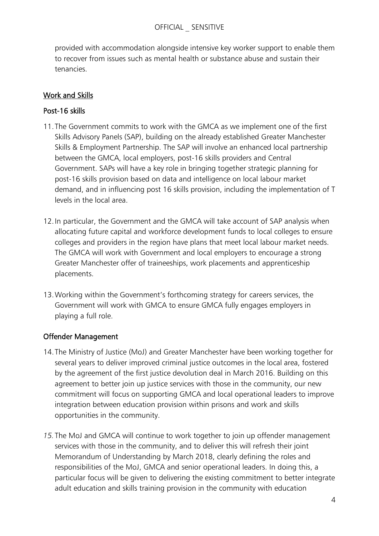provided with accommodation alongside intensive key worker support to enable them to recover from issues such as mental health or substance abuse and sustain their tenancies.

# Work and Skills

# Post-16 skills

- 11.The Government commits to work with the GMCA as we implement one of the first Skills Advisory Panels (SAP), building on the already established Greater Manchester Skills & Employment Partnership. The SAP will involve an enhanced local partnership between the GMCA, local employers, post-16 skills providers and Central Government. SAPs will have a key role in bringing together strategic planning for post-16 skills provision based on data and intelligence on local labour market demand, and in influencing post 16 skills provision, including the implementation of T levels in the local area.
- 12.In particular, the Government and the GMCA will take account of SAP analysis when allocating future capital and workforce development funds to local colleges to ensure colleges and providers in the region have plans that meet local labour market needs. The GMCA will work with Government and local employers to encourage a strong Greater Manchester offer of traineeships, work placements and apprenticeship placements.
- 13.Working within the Government's forthcoming strategy for careers services, the Government will work with GMCA to ensure GMCA fully engages employers in playing a full role.

# Offender Management

- 14.The Ministry of Justice (MoJ) and Greater Manchester have been working together for several years to deliver improved criminal justice outcomes in the local area, fostered by the agreement of the first justice devolution deal in March 2016. Building on this agreement to better join up justice services with those in the community, our new commitment will focus on supporting GMCA and local operational leaders to improve integration between education provision within prisons and work and skills opportunities in the community.
- *15.*The MoJ and GMCA will continue to work together to join up offender management services with those in the community, and to deliver this will refresh their joint Memorandum of Understanding by March 2018, clearly defining the roles and responsibilities of the MoJ, GMCA and senior operational leaders. In doing this, a particular focus will be given to delivering the existing commitment to better integrate adult education and skills training provision in the community with education